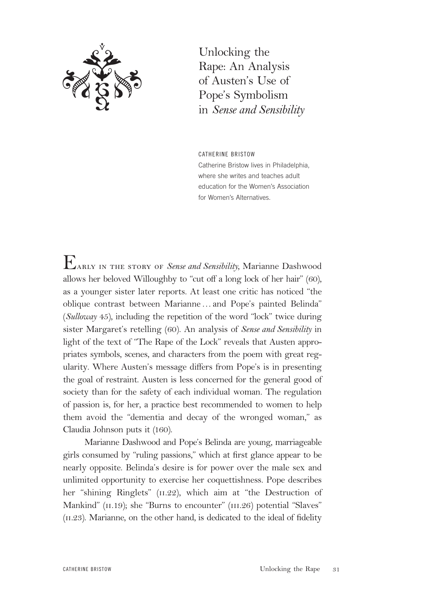

Unlocking the Rape: An Analysis of Austen's Use of Pope's Symbolism in *Sense and Sensibility*

CATHERINE BRISTOW Catherine Bristow lives in Philadelphia, where she writes and teaches adult education for the Women's Association for Women's Alternatives.

Early in the story of *Sense and Sensibility,* Marianne Dashwood allows her beloved Willoughby to "cut off a long lock of her hair" (60), as a younger sister later reports. At least one critic has noticed "the oblique contrast between Marianne…and Pope's painted Belinda" (*Sulloway* 45), including the repetition of the word "lock" twice during sister Margaret's retelling (60). An analysis of *Sense and Sensibility* in light of the text of "The Rape of the Lock" reveals that Austen appropriates symbols, scenes, and characters from the poem with great regularity. Where Austen's message differs from Pope's is in presenting the goal of restraint. Austen is less concerned for the general good of society than for the safety of each individual woman. The regulation of passion is, for her, a practice best recommended to women to help them avoid the "dementia and decay of the wronged woman," as Claudia Johnson puts it (160).

Marianne Dashwood and Pope's Belinda are young, marriageable girls consumed by "ruling passions," which at first glance appear to be nearly opposite. Belinda's desire is for power over the male sex and unlimited opportunity to exercise her coquettishness. Pope describes her "shining Ringlets" (11.22), which aim at "the Destruction of Mankind" (11.19); she "Burns to encounter" (111.26) potential "Slaves"  $(II.23)$ . Marianne, on the other hand, is dedicated to the ideal of fidelity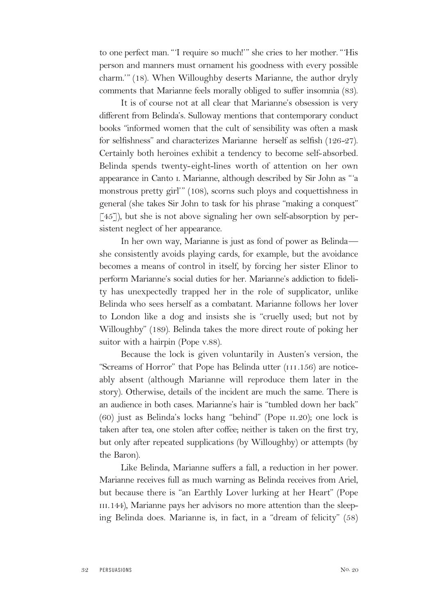to one perfect man. "'I require so much!'" she cries to her mother. "'His person and manners must ornament his goodness with every possible charm.'" (18). When Willoughby deserts Marianne, the author dryly comments that Marianne feels morally obliged to suffer insomnia (83).

It is of course not at all clear that Marianne's obsession is very different from Belinda's. Sulloway mentions that contemporary conduct books "informed women that the cult of sensibility was often a mask for selfishness" and characterizes Marianne herself as selfish (126-27). Certainly both heroines exhibit a tendency to become self-absorbed. Belinda spends twenty-eight-lines worth of attention on her own appearance in Canto i. Marianne, although described by Sir John as "'a monstrous pretty girl'" (108), scorns such ploys and coquettishness in general (she takes Sir John to task for his phrase "making a conquest"  $\lceil 45 \rceil$ ), but she is not above signaling her own self-absorption by persistent neglect of her appearance.

In her own way, Marianne is just as fond of power as Belinda she consistently avoids playing cards, for example, but the avoidance becomes a means of control in itself, by forcing her sister Elinor to perform Marianne's social duties for her. Marianne's addiction to fidelity has unexpectedly trapped her in the role of supplicator, unlike Belinda who sees herself as a combatant. Marianne follows her lover to London like a dog and insists she is "cruelly used; but not by Willoughby" (189). Belinda takes the more direct route of poking her suitor with a hairpin (Pope v.88).

Because the lock is given voluntarily in Austen's version, the "Screams of Horror" that Pope has Belinda utter (iii.156) are noticeably absent (although Marianne will reproduce them later in the story). Otherwise, details of the incident are much the same. There is an audience in both cases. Marianne's hair is "tumbled down her back" (60) just as Belinda's locks hang "behind" (Pope ii.20); one lock is taken after tea, one stolen after coffee; neither is taken on the first try, but only after repeated supplications (by Willoughby) or attempts (by the Baron).

Like Belinda, Marianne suffers a fall, a reduction in her power. Marianne receives full as much warning as Belinda receives from Ariel, but because there is "an Earthly Lover lurking at her Heart" (Pope III.144), Marianne pays her advisors no more attention than the sleeping Belinda does. Marianne is, in fact, in a "dream of felicity" (58)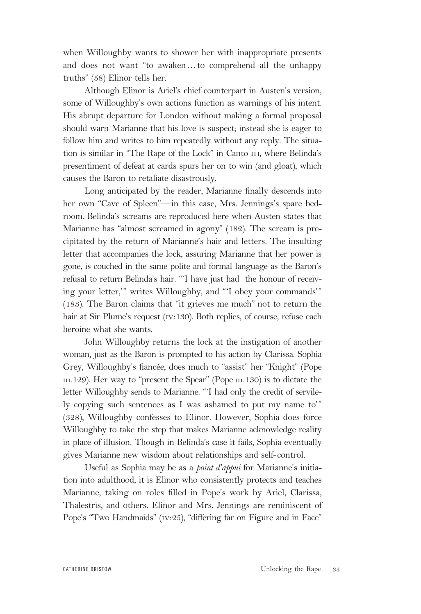when Willoughby wants to shower her with inappropriate presents and does not want "to awaken…to comprehend all the unhappy truths" (58) Elinor tells her.

Although Elinor is Ariel's chief counterpart in Austen's version, some of Willoughby's own actions function as warnings of his intent. His abrupt departure for London without making a formal proposal should warn Marianne that his love is suspect; instead she is eager to follow him and writes to him repeatedly without any reply. The situation is similar in "The Rape of the Lock" in Canto III, where Belinda's presentiment of defeat at cards spurs her on to win (and gloat), which causes the Baron to retaliate disastrously.

Long anticipated by the reader, Marianne finally descends into her own "Cave of Spleen"—in this case, Mrs. Jennings's spare bedroom. Belinda's screams are reproduced here when Austen states that Marianne has "almost screamed in agony" (182). The scream is precipitated by the return of Marianne's hair and letters. The insulting letter that accompanies the lock, assuring Marianne that her power is gone, is couched in the same polite and formal language as the Baron's refusal to return Belinda's hair. "'I have just had the honour of receiving your letter,'" writes Willoughby, and "'I obey your commands'" (183). The Baron claims that "it grieves me much" not to return the hair at Sir Plume's request (iv:130). Both replies, of course, refuse each heroine what she wants.

John Willoughby returns the lock at the instigation of another woman, just as the Baron is prompted to his action by Clarissa. Sophia Grey, Willoughby's fiancée, does much to "assist" her "Knight" (Pope III.129). Her way to "present the Spear" (Pope III.130) is to dictate the letter Willoughby sends to Marianne. "'I had only the credit of servilely copying such sentences as I was ashamed to put my name to'" (328), Willoughby confesses to Elinor. However, Sophia does force Willoughby to take the step that makes Marianne acknowledge reality in place of illusion. Though in Belinda's case it fails, Sophia eventually gives Marianne new wisdom about relationships and self-control.

Useful as Sophia may be as a *point d'appui* for Marianne's initiation into adulthood, it is Elinor who consistently protects and teaches Marianne, taking on roles filled in Pope's work by Ariel, Clarissa, Thalestris, and others. Elinor and Mrs. Jennings are reminiscent of Pope's "Two Handmaids" (IV:25), "differing far on Figure and in Face"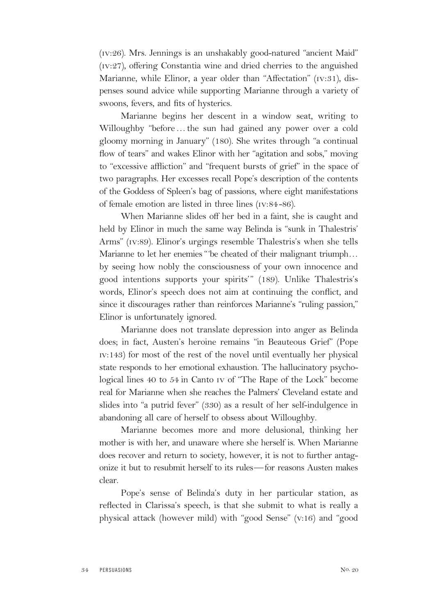(iv:26). Mrs. Jennings is an unshakably good-natured "ancient Maid" (iv:27), offering Constantia wine and dried cherries to the anguished Marianne, while Elinor, a year older than "Affectation" (iv:31), dispenses sound advice while supporting Marianne through a variety of swoons, fevers, and fits of hysterics.

Marianne begins her descent in a window seat, writing to Willoughby "before…the sun had gained any power over a cold gloomy morning in January" (180). She writes through "a continual flow of tears" and wakes Elinor with her "agitation and sobs," moving to "excessive affliction" and "frequent bursts of grief" in the space of two paragraphs. Her excesses recall Pope's description of the contents of the Goddess of Spleen's bag of passions, where eight manifestations of female emotion are listed in three lines (iv:84 -86).

When Marianne slides off her bed in a faint, she is caught and held by Elinor in much the same way Belinda is "sunk in Thalestris' Arms" (iv:89). Elinor's urgings resemble Thalestris's when she tells Marianne to let her enemies "'be cheated of their malignant triumph… by seeing how nobly the consciousness of your own innocence and good intentions supports your spirits'" (189). Unlike Thalestris's words, Elinor's speech does not aim at continuing the conflict, and since it discourages rather than reinforces Marianne's "ruling passion," Elinor is unfortunately ignored.

Marianne does not translate depression into anger as Belinda does; in fact, Austen's heroine remains "in Beauteous Grief" (Pope iv:143) for most of the rest of the novel until eventually her physical state responds to her emotional exhaustion. The hallucinatory psychological lines 40 to 54 in Canto iv of "The Rape of the Lock" become real for Marianne when she reaches the Palmers' Cleveland estate and slides into "a putrid fever" (330) as a result of her self-indulgence in abandoning all care of herself to obsess about Willoughby.

Marianne becomes more and more delusional, thinking her mother is with her, and unaware where she herself is. When Marianne does recover and return to society, however, it is not to further antagonize it but to resubmit herself to its rules—for reasons Austen makes clear.

Pope's sense of Belinda's duty in her particular station, as reflected in Clarissa's speech, is that she submit to what is really a physical attack (however mild) with "good Sense" (v:16) and "good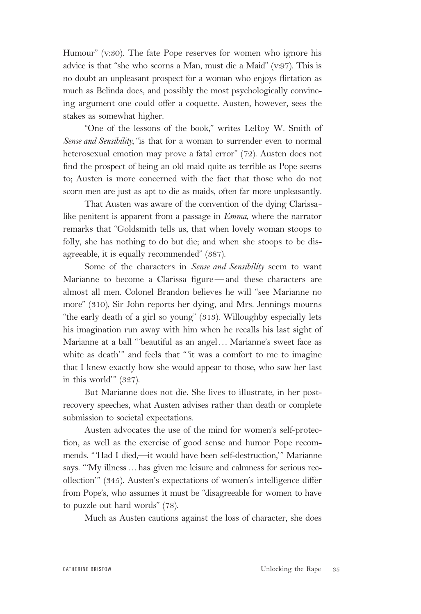Humour" (v:30). The fate Pope reserves for women who ignore his advice is that "she who scorns a Man, must die a Maid" (v:97). This is no doubt an unpleasant prospect for a woman who enjoys flirtation as much as Belinda does, and possibly the most psychologically convincing argument one could offer a coquette. Austen, however, sees the stakes as somewhat higher.

"One of the lessons of the book," writes LeRoy W. Smith of *Sense and Sensibility,* "is that for a woman to surrender even to normal heterosexual emotion may prove a fatal error" (72). Austen does not find the prospect of being an old maid quite as terrible as Pope seems to; Austen is more concerned with the fact that those who do not scorn men are just as apt to die as maids, often far more unpleasantly.

That Austen was aware of the convention of the dying Clarissalike penitent is apparent from a passage in *Emma*, where the narrator remarks that "Goldsmith tells us, that when lovely woman stoops to folly, she has nothing to do but die; and when she stoops to be disagreeable, it is equally recommended" (387).

Some of the characters in *Sense and Sensibility* seem to want Marianne to become a Clarissa figure—and these characters are almost all men. Colonel Brandon believes he will "see Marianne no more" (310), Sir John reports her dying, and Mrs. Jennings mourns "the early death of a girl so young" (313). Willoughby especially lets his imagination run away with him when he recalls his last sight of Marianne at a ball "'beautiful as an angel… Marianne's sweet face as white as death'" and feels that "'it was a comfort to me to imagine that I knew exactly how she would appear to those, who saw her last in this world'" (327).

But Marianne does not die. She lives to illustrate, in her postrecovery speeches, what Austen advises rather than death or complete submission to societal expectations.

Austen advocates the use of the mind for women's self-protection, as well as the exercise of good sense and humor Pope recommends. "'Had I died,—it would have been self-destruction,'" Marianne says. "'My illness…has given me leisure and calmness for serious recollection'" (345). Austen's expectations of women's intelligence differ from Pope's, who assumes it must be "disagreeable for women to have to puzzle out hard words" (78).

Much as Austen cautions against the loss of character, she does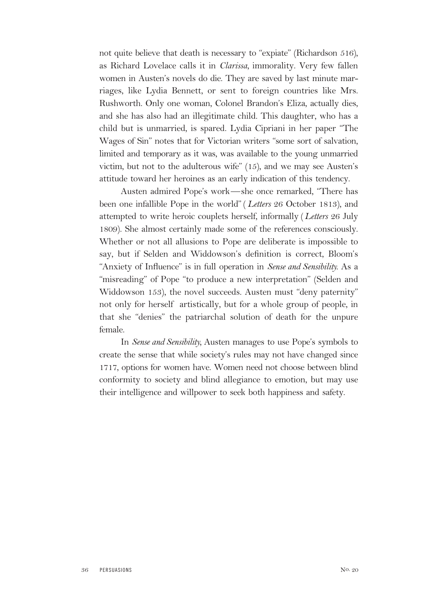not quite believe that death is necessary to "expiate" (Richardson 516), as Richard Lovelace calls it in *Clarissa,* immorality. Very few fallen women in Austen's novels do die. They are saved by last minute marriages, like Lydia Bennett, or sent to foreign countries like Mrs. Rushworth. Only one woman, Colonel Brandon's Eliza, actually dies, and she has also had an illegitimate child. This daughter, who has a child but is unmarried, is spared. Lydia Cipriani in her paper "The Wages of Sin" notes that for Victorian writers "some sort of salvation, limited and temporary as it was, was available to the young unmarried victim, but not to the adulterous wife" (15), and we may see Austen's attitude toward her heroines as an early indication of this tendency.

Austen admired Pope's work—she once remarked, "There has been one infallible Pope in the world"( *Letters* 26 October 1813), and attempted to write heroic couplets herself, informally (*Letters* 26 July 1809). She almost certainly made some of the references consciously. Whether or not all allusions to Pope are deliberate is impossible to say, but if Selden and Widdowson's definition is correct, Bloom's "Anxiety of Influence" is in full operation in *Sense and Sensibility.* As a "misreading" of Pope "to produce a new interpretation" (Selden and Widdowson 153), the novel succeeds. Austen must "deny paternity" not only for herself artistically, but for a whole group of people, in that she "denies" the patriarchal solution of death for the unpure female.

In *Sense and Sensibility,* Austen manages to use Pope's symbols to create the sense that while society's rules may not have changed since 1717, options for women have. Women need not choose between blind conformity to society and blind allegiance to emotion, but may use their intelligence and willpower to seek both happiness and safety.